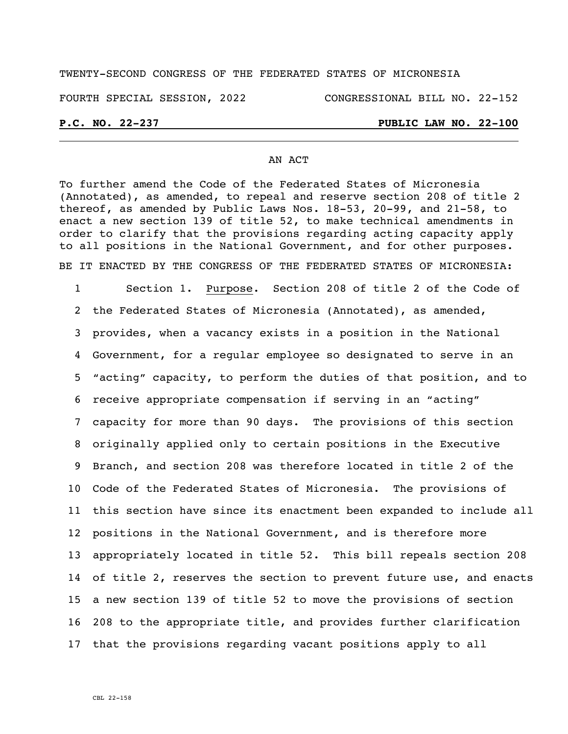# TWENTY-SECOND CONGRESS OF THE FEDERATED STATES OF MICRONESIA

### FOURTH SPECIAL SESSION, 2022 CONGRESSIONAL BILL NO. 22-152

# **P.C. NO. 22-237 PUBLIC LAW NO. 22-100**

## AN ACT

To further amend the Code of the Federated States of Micronesia (Annotated), as amended, to repeal and reserve section 208 of title 2 thereof, as amended by Public Laws Nos. 18-53, 20-99, and 21-58, to enact a new section 139 of title 52, to make technical amendments in order to clarify that the provisions regarding acting capacity apply to all positions in the National Government, and for other purposes. BE IT ENACTED BY THE CONGRESS OF THE FEDERATED STATES OF MICRONESIA:

 Section 1. Purpose. Section 208 of title 2 of the Code of the Federated States of Micronesia (Annotated), as amended, provides, when a vacancy exists in a position in the National Government, for a regular employee so designated to serve in an "acting" capacity, to perform the duties of that position, and to receive appropriate compensation if serving in an "acting" capacity for more than 90 days. The provisions of this section originally applied only to certain positions in the Executive Branch, and section 208 was therefore located in title 2 of the Code of the Federated States of Micronesia. The provisions of this section have since its enactment been expanded to include all positions in the National Government, and is therefore more appropriately located in title 52. This bill repeals section 208 of title 2, reserves the section to prevent future use, and enacts a new section 139 of title 52 to move the provisions of section 208 to the appropriate title, and provides further clarification that the provisions regarding vacant positions apply to all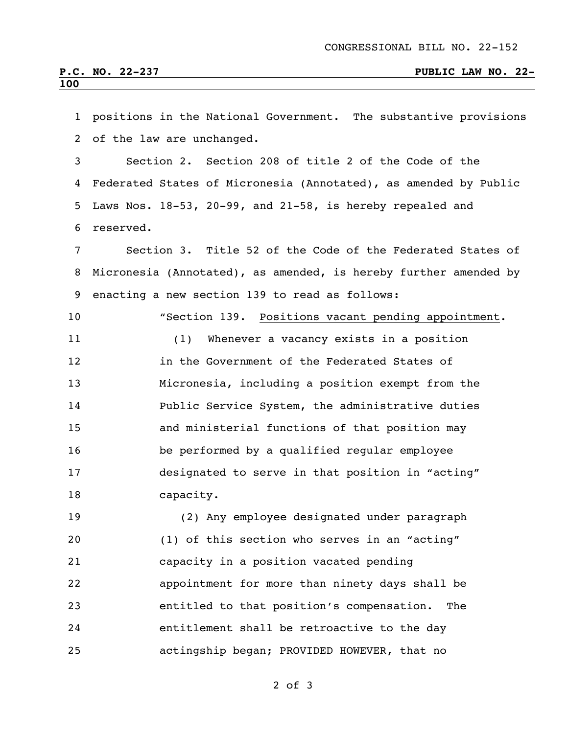| $\mathbf{1}$   | positions in the National Government. The substantive provisions   |  |  |
|----------------|--------------------------------------------------------------------|--|--|
| $\overline{2}$ | of the law are unchanged.                                          |  |  |
| $\mathfrak{Z}$ | Section 2. Section 208 of title 2 of the Code of the               |  |  |
| 4              | Federated States of Micronesia (Annotated), as amended by Public   |  |  |
| 5              | Laws Nos. $18-53$ , $20-99$ , and $21-58$ , is hereby repealed and |  |  |
| 6              | reserved.                                                          |  |  |
| 7              | Section 3. Title 52 of the Code of the Federated States of         |  |  |
| 8              | Micronesia (Annotated), as amended, is hereby further amended by   |  |  |
| 9              | enacting a new section 139 to read as follows:                     |  |  |
| 10             | "Section 139. Positions vacant pending appointment.                |  |  |
| 11             | Whenever a vacancy exists in a position<br>(1)                     |  |  |
| 12             | in the Government of the Federated States of                       |  |  |
| 13             | Micronesia, including a position exempt from the                   |  |  |
| 14             | Public Service System, the administrative duties                   |  |  |
| 15             | and ministerial functions of that position may                     |  |  |
| 16             | be performed by a qualified regular employee                       |  |  |
| 17             | designated to serve in that position in "acting"                   |  |  |
| 18             | capacity.                                                          |  |  |
| 19             | (2) Any employee designated under paragraph                        |  |  |
| 20             | (1) of this section who serves in an "acting"                      |  |  |
| 21             | capacity in a position vacated pending                             |  |  |
| 22             | appointment for more than ninety days shall be                     |  |  |
| 23             | entitled to that position's compensation.<br>The                   |  |  |
| 24             | entitlement shall be retroactive to the day                        |  |  |
| 25             | actingship began; PROVIDED HOWEVER, that no                        |  |  |

of 3